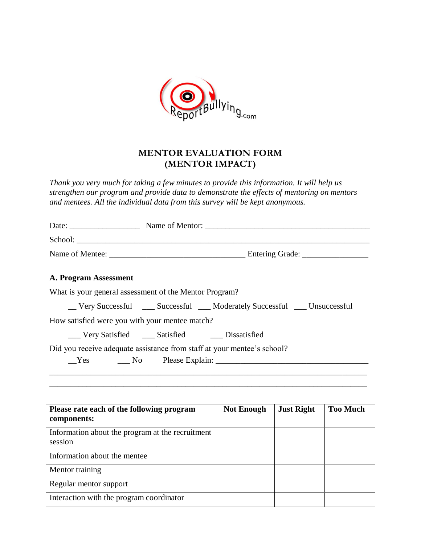

## **MENTOR EVALUATION FORM (MENTOR IMPACT)**

*Thank you very much for taking a few minutes to provide this information. It will help us strengthen our program and provide data to demonstrate the effects of mentoring on mentors and mentees. All the individual data from this survey will be kept anonymous.*

|                       |                                                        | School:                                                                 |
|-----------------------|--------------------------------------------------------|-------------------------------------------------------------------------|
|                       |                                                        |                                                                         |
| A. Program Assessment |                                                        |                                                                         |
|                       | What is your general assessment of the Mentor Program? |                                                                         |
|                       |                                                        | _Very Successful __ Successful __ Moderately Successful __ Unsuccessful |
|                       | How satisfied were you with your mentee match?         |                                                                         |
|                       | ___ Very Satisfied ____ Satisfied ____ Dissatisfied    |                                                                         |
|                       |                                                        | Did you receive adequate assistance from staff at your mentee's school? |
|                       |                                                        | No Please Explain:                                                      |

| Please rate each of the following program<br>components:    | <b>Not Enough</b> | <b>Just Right</b> | <b>Too Much</b> |
|-------------------------------------------------------------|-------------------|-------------------|-----------------|
| Information about the program at the recruitment<br>session |                   |                   |                 |
| Information about the mentee                                |                   |                   |                 |
| Mentor training                                             |                   |                   |                 |
| Regular mentor support                                      |                   |                   |                 |
| Interaction with the program coordinator                    |                   |                   |                 |